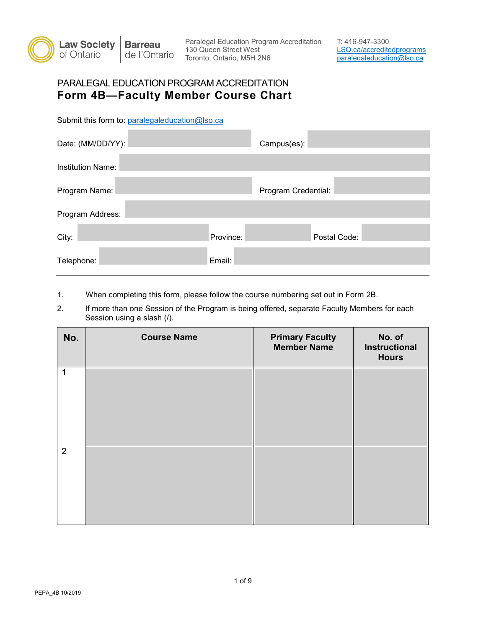

Paralegal Education Program Accreditation T: 416-947-3300 130 Queen Street West LSO.ca/accreditedprograms Toronto, Ontario, M5H 2N6 **paralegaleducation@lso.ca** 

## **Form 4B—Faculty Member Course Chart**  PARALEGAL EDUCATION PROGRAM ACCREDITATION

Submit this form to: paralegaleducation@lso.ca

| Date: (MM/DD/YY):        |           | Campus(es):         |              |
|--------------------------|-----------|---------------------|--------------|
| <b>Institution Name:</b> |           |                     |              |
| Program Name:            |           | Program Credential: |              |
| Program Address:         |           |                     |              |
| City:                    | Province: |                     | Postal Code: |
| Telephone:               | Email:    |                     |              |

1. When completing this form, please follow the course numbering set out in Form 2B.

 Session using a slash (/). 2. If more than one Session of the Program is being offered, separate Faculty Members for each

| No.            | <b>Course Name</b> | <b>Primary Faculty</b><br><b>Member Name</b> | No. of<br><b>Instructional</b><br><b>Hours</b> |
|----------------|--------------------|----------------------------------------------|------------------------------------------------|
| $\mathbf 1$    |                    |                                              |                                                |
|                |                    |                                              |                                                |
| $\overline{2}$ |                    |                                              |                                                |
|                |                    |                                              |                                                |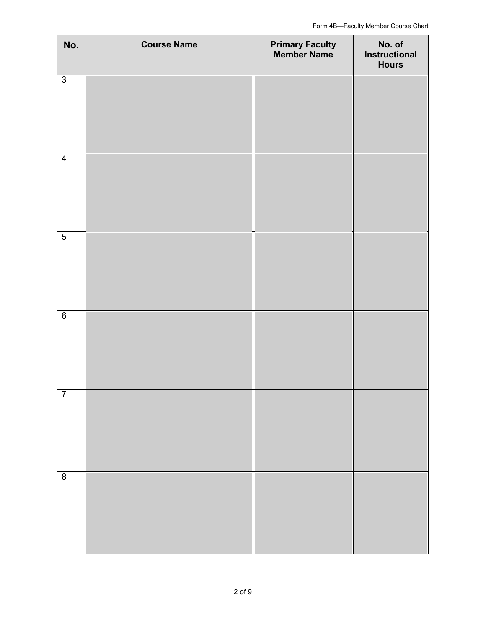| No.             | <b>Course Name</b> | <b>Primary Faculty<br/>Member Name</b> | No. of<br><b>Instructional</b><br><b>Hours</b> |
|-----------------|--------------------|----------------------------------------|------------------------------------------------|
| $\overline{3}$  |                    |                                        |                                                |
| $\overline{4}$  |                    |                                        |                                                |
| $\overline{5}$  |                    |                                        |                                                |
| $6\overline{6}$ |                    |                                        |                                                |
| $\overline{7}$  |                    |                                        |                                                |
| $\overline{8}$  |                    |                                        |                                                |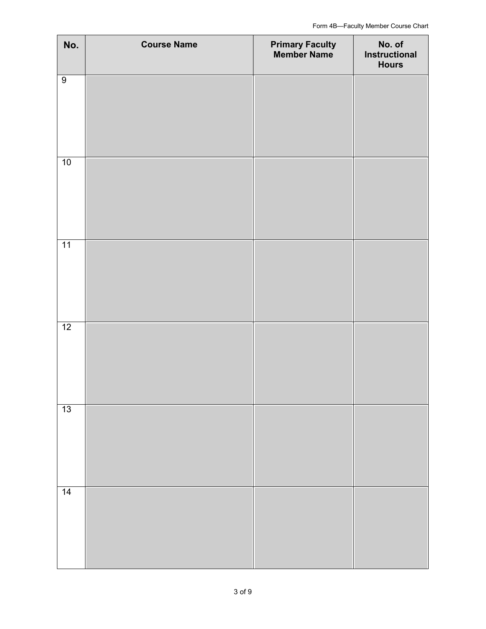| No.            | <b>Course Name</b> | <b>Primary Faculty<br/>Member Name</b> | No. of<br><b>Instructional</b><br><b>Hours</b> |
|----------------|--------------------|----------------------------------------|------------------------------------------------|
| $\overline{9}$ |                    |                                        |                                                |
|                |                    |                                        |                                                |
| 10             |                    |                                        |                                                |
|                |                    |                                        |                                                |
| 11             |                    |                                        |                                                |
|                |                    |                                        |                                                |
| 12             |                    |                                        |                                                |
|                |                    |                                        |                                                |
| 13             |                    |                                        |                                                |
|                |                    |                                        |                                                |
| 14             |                    |                                        |                                                |
|                |                    |                                        |                                                |
|                |                    |                                        |                                                |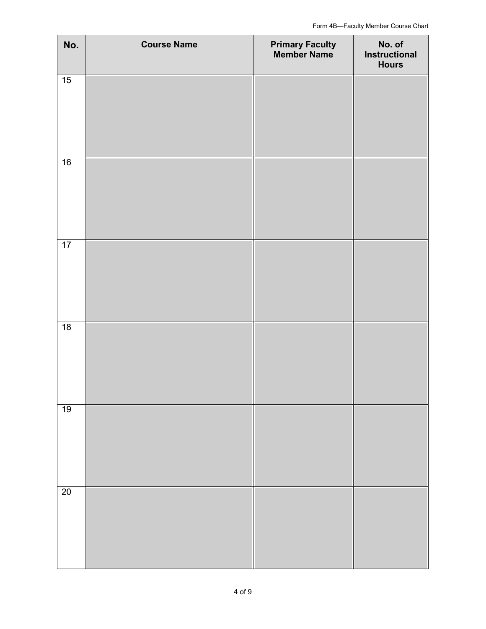| No. | <b>Course Name</b> | <b>Primary Faculty<br/>Member Name</b> | No. of<br>Instructional<br><b>Hours</b> |
|-----|--------------------|----------------------------------------|-----------------------------------------|
| 15  |                    |                                        |                                         |
| 16  |                    |                                        |                                         |
| 17  |                    |                                        |                                         |
| 18  |                    |                                        |                                         |
| 19  |                    |                                        |                                         |
| 20  |                    |                                        |                                         |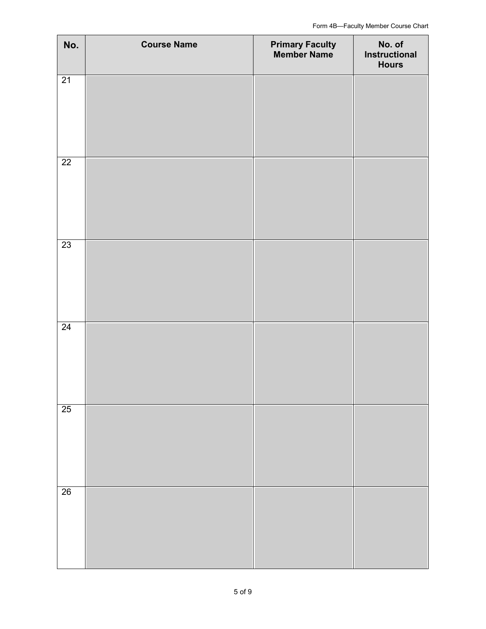| No.             | <b>Course Name</b> | <b>Primary Faculty<br/>Member Name</b> | No. of<br><b>Instructional</b><br><b>Hours</b> |
|-----------------|--------------------|----------------------------------------|------------------------------------------------|
| $\overline{21}$ |                    |                                        |                                                |
| $\overline{22}$ |                    |                                        |                                                |
| $\overline{23}$ |                    |                                        |                                                |
| $\overline{24}$ |                    |                                        |                                                |
| $\overline{25}$ |                    |                                        |                                                |
| 26              |                    |                                        |                                                |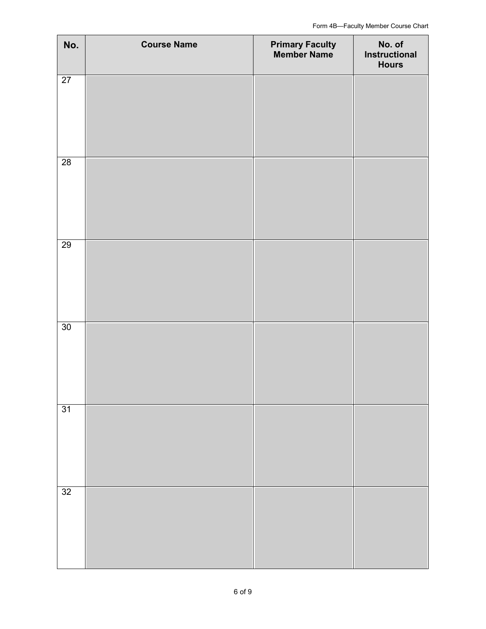| No.             | <b>Course Name</b> | <b>Primary Faculty<br/>Member Name</b> | No. of<br><b>Instructional</b><br><b>Hours</b> |
|-----------------|--------------------|----------------------------------------|------------------------------------------------|
| $\overline{27}$ |                    |                                        |                                                |
| $\overline{28}$ |                    |                                        |                                                |
| 29              |                    |                                        |                                                |
| 30              |                    |                                        |                                                |
| $\overline{31}$ |                    |                                        |                                                |
| 32              |                    |                                        |                                                |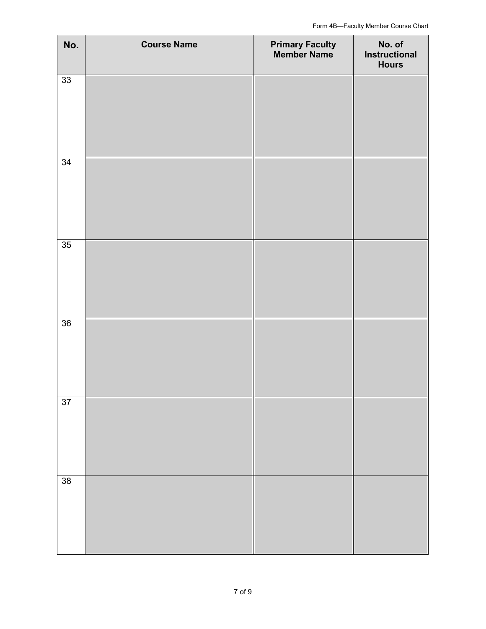| No.             | <b>Course Name</b> | <b>Primary Faculty<br/>Member Name</b> | No. of<br>Instructional<br><b>Hours</b> |
|-----------------|--------------------|----------------------------------------|-----------------------------------------|
| $\overline{33}$ |                    |                                        |                                         |
| $\overline{34}$ |                    |                                        |                                         |
| 35              |                    |                                        |                                         |
| 36              |                    |                                        |                                         |
| $\overline{37}$ |                    |                                        |                                         |
| 38              |                    |                                        |                                         |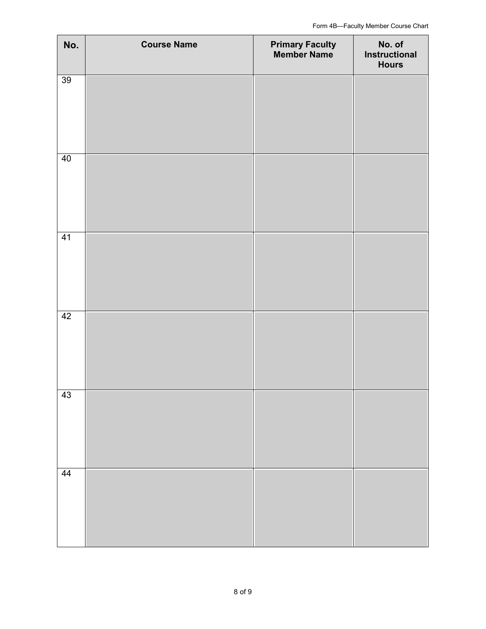| No. | <b>Course Name</b> | <b>Primary Faculty<br/>Member Name</b> | No. of<br>Instructional<br><b>Hours</b> |
|-----|--------------------|----------------------------------------|-----------------------------------------|
| 39  |                    |                                        |                                         |
| 40  |                    |                                        |                                         |
| 41  |                    |                                        |                                         |
| 42  |                    |                                        |                                         |
| 43  |                    |                                        |                                         |
| 44  |                    |                                        |                                         |